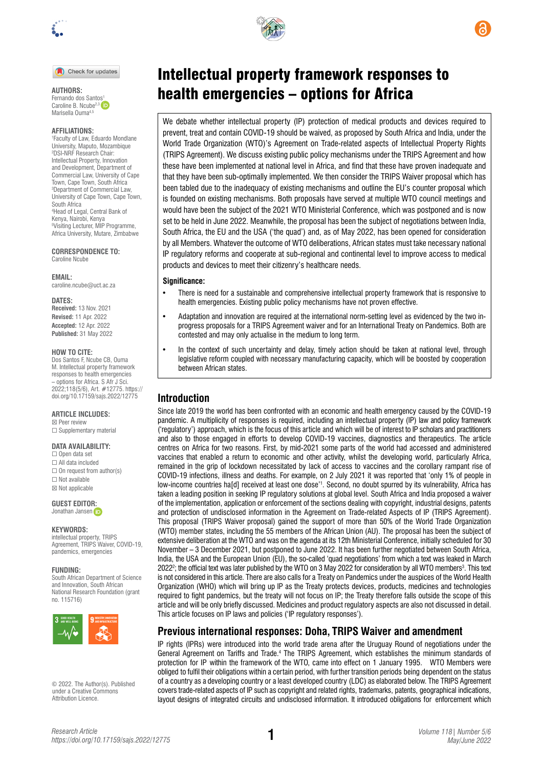

Check for updates

Fernando dos Sant[os1](https://orcid.org/0000-0003-0933-937X) Caroline B. Ncube<sup>2,3</sup> Marisella Ouma<sup>4,5</sup>

#### **AFFILIATIONS:**

1 Faculty of Law, Eduardo Mondlane University, Maputo, Mozambique 2 DSI-NRF Research Chair: Intellectual Property, Innovation and Development, Department of Commercial Law, University of Cape Town, Cape Town, South Africa 3 Department of Commercial Law, University of Cape Town, Cape Town, South Africa 4 Head of Legal, Central Bank of Kenya, Nairobi, Kenya 5 Visiting Lecturer, MIP Programme, Africa University, Mutare, Zimbabwe

**CORRESPONDENCE TO:**  Caroline Ncube

**EMAIL:**  [caroline.ncube@uct.ac.za](mailto:caroline.ncube@uct.ac.za)

**DATES:**

**Received:** 13 Nov. 2021 **Revised:** 11 Apr. 2022 **Accepted:** 12 Apr. 2022 **Published:** 31 May 2022

#### **HOW TO CITE:**

Dos Santos F, Ncube CB, Ouma M. Intellectual property framework responses to health emergencies – options for Africa. S Afr J Sci. 2022;118(5/6), Art. #12775. [https://](https://doi.org/10.17159/sajs.2022/12775) [doi.org/10.17159/sajs.2022/12775](https://doi.org/10.17159/sajs.2022/12775)

#### **ARTICLE INCLUDES:**

☒ Peer review □ Supplementary material

#### **DATA AVAILABILITY:**

☐ Open data set ☐ All data included  $\Box$  On request from author(s) ☐ Not available ☒ Not applicable

**GUEST EDITO[R:](https://orcid.org/0000-0002-8614-5678)** 

Jonathan Jansen iD

#### **KEYWORDS:**

intellectual property, TRIPS Agreement, TRIPS Waiver, COVID-19, pandemics, emergencies

#### **FUNDING:**

South African Department of Science and Innovation, South African National Research Foundation (grant no. 115716)



© 2022. The Author(s). Published under a [Creative Commons](https://creativecommons.org/licenses/by/4.0/)  [Attribution Licence.](https://creativecommons.org/licenses/by/4.0/)

# Intellectual property framework responses to AUTHORS:<br>Fernando dos Santos<sup>1</sup> **health emergencies – options for Africa**

We debate whether intellectual property (IP) protection of medical products and devices required to prevent, treat and contain COVID-19 should be waived, as proposed by South Africa and India, under the World Trade Organization (WTO)'s Agreement on Trade-related aspects of Intellectual Property Rights (TRIPS Agreement). We discuss existing public policy mechanisms under the TRIPS Agreement and how these have been implemented at national level in Africa, and find that these have proven inadequate and that they have been sub-optimally implemented. We then consider the TRIPS Waiver proposal which has been tabled due to the inadequacy of existing mechanisms and outline the EU's counter proposal which is founded on existing mechanisms. Both proposals have served at multiple WTO council meetings and would have been the subject of the 2021 WTO Ministerial Conference, which was postponed and is now set to be held in June 2022. Meanwhile, the proposal has been the subject of negotiations between India, South Africa, the EU and the USA ('the quad') and, as of May 2022, has been opened for consideration by all Members. Whatever the outcome of WTO deliberations, African states must take necessary national IP regulatory reforms and cooperate at sub-regional and continental level to improve access to medical products and devices to meet their citizenry's healthcare needs.

#### **Significance:**

- There is need for a sustainable and comprehensive intellectual property framework that is responsive to health emergencies. Existing public policy mechanisms have not proven effective.
- Adaptation and innovation are required at the international norm-setting level as evidenced by the two inprogress proposals for a TRIPS Agreement waiver and for an International Treaty on Pandemics. Both are contested and may only actualise in the medium to long term.
- In the context of such uncertainty and delay, timely action should be taken at national level, through legislative reform coupled with necessary manufacturing capacity, which will be boosted by cooperation between African states.

### **Introduction**

Since late 2019 the world has been confronted with an economic and health emergency caused by the COVID-19 pandemic. A multiplicity of responses is required, including an intellectual property (IP) law and policy framework ('regulatory') approach, which is the focus of this article and which will be of interest to IP scholars and practitioners and also to those engaged in efforts to develop COVID-19 vaccines, diagnostics and therapeutics. The article centres on Africa for two reasons. First, by mid-2021 some parts of the world had accessed and administered vaccines that enabled a return to economic and other activity, whilst the developing world, particularly Africa, remained in the grip of lockdown necessitated by lack of access to vaccines and the corollary rampant rise of COVID-19 infections, illness and deaths. For example, on 2 July 2021 it was reported that 'only 1% of people in low-income countries ha[d] received at least one dose'1 . Second, no doubt spurred by its vulnerability, Africa has taken a leading position in seeking IP regulatory solutions at global level. South Africa and India proposed a waiver of the implementation, application or enforcement of the sections dealing with copyright, industrial designs, patents and protection of undisclosed information in the Agreement on Trade-related Aspects of IP (TRIPS Agreement). This proposal (TRIPS Waiver proposal) gained the support of more than 50% of the World Trade Organization (WTO) member states, including the 55 members of the African Union (AU). The proposal has been the subject of extensive deliberation at the WTO and was on the agenda at its 12th Ministerial Conference, initially scheduled for 30 November – 3 December 2021, but postponed to June 2022. It has been further negotiated between South Africa, India, the USA and the European Union (EU), the so-called 'quad negotiations' from which a text was leaked in March 2022<sup>2</sup>; the official text was later published by the WTO on 3 May 2022 for consideration by all WTO members<sup>3</sup>. This text is not considered in this article. There are also calls for a Treaty on Pandemics under the auspices of the World Health Organization (WHO) which will bring up IP as the Treaty protects devices, products, medicines and technologies required to fight pandemics, but the treaty will not focus on IP; the Treaty therefore falls outside the scope of this article and will be only briefly discussed. Medicines and product regulatory aspects are also not discussed in detail. This article focuses on IP laws and policies ('IP regulatory responses').

### **Previous international responses: Doha, TRIPS Waiver and amendment**

IP rights (IPRs) were introduced into the world trade arena after the Uruguay Round of negotiations under the General Agreement on Tariffs and Trade.<sup>4</sup> The TRIPS Agreement, which establishes the minimum standards of protection for IP within the framework of the WTO, came into effect on 1 January 1995. WTO Members were obliged to fulfil their obligations within a certain period, with further transition periods being dependent on the status of a country as a developing country or a least developed country (LDC) as elaborated below. The TRIPS Agreement covers trade-related aspects of IP such as copyright and related rights, trademarks, patents, geographical indications, layout designs of integrated circuits and undisclosed information. It introduced obligations for enforcement which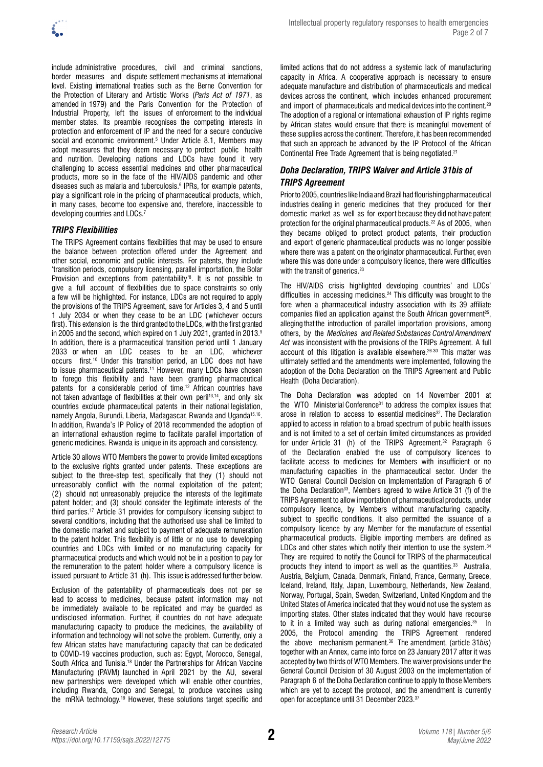

include administrative procedures, civil and criminal sanctions, border measures and dispute settlement mechanisms at international level. Existing international treaties such as the Berne Convention for the Protection of Literary and Artistic Works (*Paris Act of 1971*, as amended in 1979) and the Paris Convention for the Protection of Industrial Property, left the issues of enforcement to the individual member states. Its preamble recognises the competing interests in protection and enforcement of IP and the need for a secure conducive social and economic environment.<sup>5</sup> Under Article 8.1, Members may adopt measures that they deem necessary to protect public health and nutrition. Developing nations and LDCs have found it very challenging to access essential medicines and other pharmaceutical products, more so in the face of the HIV/AIDS pandemic and other diseases such as malaria and tuberculosis.<sup>6</sup> IPRs, for example patents, play a significant role in the pricing of pharmaceutical products, which, in many cases, become too expensive and, therefore, inaccessible to developing countries and LDCs.<sup>7</sup>

#### *TRIPS Flexibilities*

The TRIPS Agreement contains flexibilities that may be used to ensure the balance between protection offered under the Agreement and other social, economic and public interests. For patents, they include 'transition periods, compulsory licensing, parallel importation, the Bolar Provision and exceptions from patentability'8 . It is not possible to give a full account of flexibilities due to space constraints so only a few will be highlighted. For instance, LDCs are not required to apply the provisions of the TRIPS Agreement, save for Articles 3, 4 and 5 until 1 July 2034 or when they cease to be an LDC (whichever occurs first). This extension is the third granted to the LDCs, with the first granted in 2005 and the second, which expired on 1 July 2021, granted in 2013.<sup>9</sup> In addition, there is a pharmaceutical transition period until 1 January 2033 or when an LDC ceases to be an LDC, whichever occurs first.10 Under this transition period, an LDC does not have to issue pharmaceutical patents.<sup>11</sup> However, many LDCs have chosen to forego this flexibility and have been granting pharmaceutical patents for a considerable period of time.12 African countries have not taken advantage of flexibilities at their own peril<sup>13,14</sup>, and only six countries exclude pharmaceutical patents in their national legislation, namely Angola, Burundi, Liberia, Madagascar, Rwanda and Uganda<sup>15,16</sup>. In addition, Rwanda's IP Policy of 2018 recommended the adoption of an international exhaustion regime to facilitate parallel importation of generic medicines. Rwanda is unique in its approach and consistency.

Article 30 allows WTO Members the power to provide limited exceptions to the exclusive rights granted under patents. These exceptions are subject to the three-step test, specifically that they (1) should not unreasonably conflict with the normal exploitation of the patent; (2) should not unreasonably prejudice the interests of the legitimate patent holder; and (3) should consider the legitimate interests of the third parties.17 Article 31 provides for compulsory licensing subject to several conditions, including that the authorised use shall be limited to the domestic market and subject to payment of adequate remuneration to the patent holder. This flexibility is of little or no use to developing countries and LDCs with limited or no manufacturing capacity for pharmaceutical products and which would not be in a position to pay for the remuneration to the patent holder where a compulsory licence is issued pursuant to Article 31 (h). This issue is addressed further below.

Exclusion of the patentability of pharmaceuticals does not per se lead to access to medicines, because patent information may not be immediately available to be replicated and may be guarded as undisclosed information. Further, if countries do not have adequate manufacturing capacity to produce the medicines, the availability of information and technology will not solve the problem. Currently, only a few African states have manufacturing capacity that can be dedicated to COVID-19 vaccines production, such as: Egypt, Morocco, Senegal, South Africa and Tunisia.18 Under the Partnerships for African Vaccine Manufacturing (PAVM) launched in April 2021 by the AU, several new partnerships were developed which will enable other countries, including Rwanda, Congo and Senegal, to produce vaccines using the mRNA technology.19 However, these solutions target specific and

limited actions that do not address a systemic lack of manufacturing capacity in Africa. A cooperative approach is necessary to ensure adequate manufacture and distribution of pharmaceuticals and medical devices across the continent, which includes enhanced procurement and import of pharmaceuticals and medical devices into the continent.<sup>20</sup> The adoption of a regional or international exhaustion of IP rights regime by African states would ensure that there is meaningful movement of these supplies across the continent. Therefore, it has been recommended that such an approach be advanced by the IP Protocol of the African Continental Free Trade Agreement that is being negotiated.21

#### *Doha Declaration, TRIPS Waiver and Article 31bis of TRIPS Agreement*

Prior to 2005, countries like India and Brazil had flourishing pharmaceutical industries dealing in generic medicines that they produced for their domestic market as well as for export because they did not have patent protection for the original pharmaceutical products.22 As of 2005, when they became obliged to protect product patents, their production and export of generic pharmaceutical products was no longer possible where there was a patent on the originator pharmaceutical. Further, even where this was done under a compulsory licence, there were difficulties with the transit of generics.<sup>23</sup>

The HIV/AIDS crisis highlighted developing countries' and LDCs' difficulties in accessing medicines.<sup>24</sup> This difficulty was brought to the fore when a pharmaceutical industry association with its 39 affiliate companies filed an application against the South African government<sup>25</sup>, alleging that the introduction of parallel importation provisions, among others, by the *Medicines and Related Substances Control Amendment Act* was inconsistent with the provisions of the TRIPs Agreement. A full account of this litigation is available elsewhere.<sup>26-30</sup> This matter was ultimately settled and the amendments were implemented, following the adoption of the Doha Declaration on the TRIPS Agreement and Public Health (Doha Declaration).

The Doha Declaration was adopted on 14 November 2001 at the  $WTO$  Ministerial Conference<sup>31</sup> to address the complex issues that arose in relation to access to essential medicines<sup>32</sup>. The Declaration applied to access in relation to a broad spectrum of public health issues and is not limited to a set of certain limited circumstances as provided for under Article 31 (h) of the TRIPS Agreement.<sup>32</sup> Paragraph 6 of the Declaration enabled the use of compulsory licences to facilitate access to medicines for Members with insufficient or no manufacturing capacities in the pharmaceutical sector. Under the WTO General Council Decision on Implementation of Paragraph 6 of the Doha Declaration<sup>33</sup>, Members agreed to waive Article 31 (f) of the TRIPS Agreement to allow importation of pharmaceutical products, under compulsory licence, by Members without manufacturing capacity, subject to specific conditions. It also permitted the issuance of a compulsory licence by any Member for the manufacture of essential pharmaceutical products. Eligible importing members are defined as LDCs and other states which notify their intention to use the system.<sup>34</sup> They are required to notify the Council for TRIPS of the pharmaceutical products they intend to import as well as the quantities.<sup>33</sup> Australia, Austria, Belgium, Canada, Denmark, Finland, France, Germany, Greece, Iceland, Ireland, Italy, Japan, Luxembourg, Netherlands, New Zealand, Norway, Portugal, Spain, Sweden, Switzerland, United Kingdom and the United States of America indicated that they would not use the system as importing states. Other states indicated that they would have recourse to it in a limited way such as during national emergencies. $35$ 2005, the Protocol amending the TRIPS Agreement rendered the above mechanism permanent.36 The amendment, (article 31*bis*) together with an Annex, came into force on 23 January 2017 after it was accepted by two thirds of WTO Members. The waiver provisions under the General Council Decision of 30 August 2003 on the implementation of Paragraph 6 of the Doha Declaration continue to apply to those Members which are yet to accept the protocol, and the amendment is currently open for acceptance until 31 December 2023.37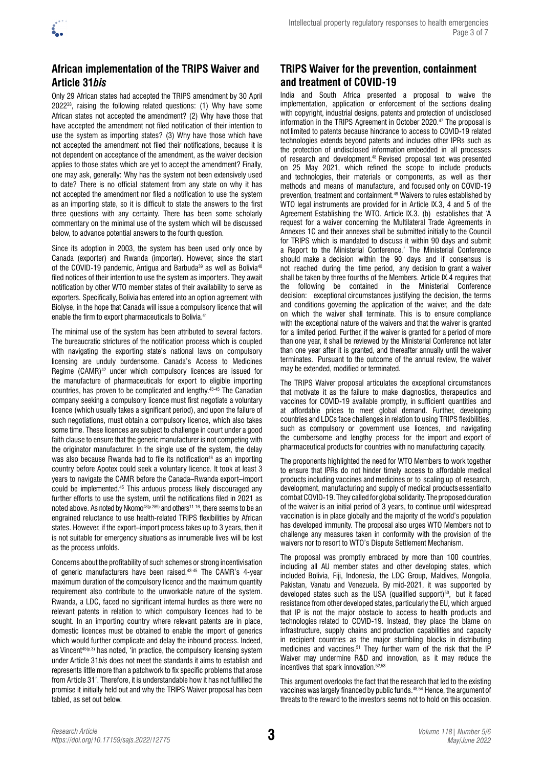

### **African implementation of the TRIPS Waiver and Article 31***bis*

Only 29 African states had accepted the TRIPS amendment by 30 April 202238, raising the following related questions: (1) Why have some African states not accepted the amendment? (2) Why have those that have accepted the amendment not filed notification of their intention to use the system as importing states? (3) Why have those which have not accepted the amendment not filed their notifications, because it is not dependent on acceptance of the amendment, as the waiver decision applies to those states which are yet to accept the amendment? Finally, one may ask, generally: Why has the system not been extensively used to date? There is no official statement from any state on why it has not accepted the amendment nor filed a notification to use the system as an importing state, so it is difficult to state the answers to the first three questions with any certainty. There has been some scholarly commentary on the minimal use of the system which will be discussed below, to advance potential answers to the fourth question.

Since its adoption in 2003, the system has been used only once by Canada (exporter) and Rwanda (importer). However, since the start of the COVID-19 pandemic. Antigua and Barbuda<sup>39</sup> as well as Bolivia<sup>40</sup> filed notices of their intention to use the system as importers. They await notification by other WTO member states of their availability to serve as exporters. Specifically, Bolivia has entered into an option agreement with Biolyse, in the hope that Canada will issue a compulsory licence that will enable the firm to export pharmaceuticals to Bolivia.<sup>41</sup>

The minimal use of the system has been attributed to several factors. The bureaucratic strictures of the notification process which is coupled with navigating the exporting state's national laws on compulsory licensing are unduly burdensome. Canada's Access to Medicines Regime (CAMR)<sup>42</sup> under which compulsory licences are issued for the manufacture of pharmaceuticals for export to eligible importing countries, has proven to be complicated and lengthy.43-45 The Canadian company seeking a compulsory licence must first negotiate a voluntary licence (which usually takes a significant period), and upon the failure of such negotiations, must obtain a compulsory licence, which also takes some time. These licences are subject to challenge in court under a good faith clause to ensure that the generic manufacturer is not competing with the originator manufacturer. In the single use of the system, the delay was also because Rwanda had to file its notification<sup>46</sup> as an importing country before Apotex could seek a voluntary licence. It took at least 3 years to navigate the CAMR before the Canada–Rwanda export–import could be implemented.45 This arduous process likely discouraged any further efforts to use the system, until the notifications filed in 2021 as noted above. As noted by Nkomo<sup>43(p.289)</sup> and others<sup>11-16</sup>, there seems to be an engrained reluctance to use health-related TRIPS flexibilities by African states. However, if the export–import process takes up to 3 years, then it is not suitable for emergency situations as innumerable lives will be lost as the process unfolds.

Concerns about the profitability of such schemes or strong incentivisation of generic manufacturers have been raised.43-45 The CAMR's 4-year maximum duration of the compulsory licence and the maximum quantity requirement also contribute to the unworkable nature of the system. Rwanda, a LDC, faced no significant internal hurdles as there were no relevant patents in relation to which compulsory licences had to be sought. In an importing country where relevant patents are in place, domestic licences must be obtained to enable the import of generics which would further complicate and delay the inbound process. Indeed, as Vincent<sup>45(p.3)</sup> has noted, 'in practice, the compulsory licensing system under Article 31*bis* does not meet the standards it aims to establish and represents little more than a patchwork to fix specific problems that arose from Article 31'. Therefore, it is understandable how it has not fulfilled the promise it initially held out and why the TRIPS Waiver proposal has been tabled, as set out below.

## **TRIPS Waiver for the prevention, containment and treatment of COVID-19**

India and South Africa presented a proposal to waive the implementation, application or enforcement of the sections dealing with copyright, industrial designs, patents and protection of undisclosed information in the TRIPS Agreement in October 2020.<sup>47</sup> The proposal is not limited to patents because hindrance to access to COVID-19 related technologies extends beyond patents and includes other IPRs such as the protection of undisclosed information embedded in all processes of research and development.48 Revised proposal text was presented on 25 May 2021, which refined the scope to include products and technologies, their materials or components, as well as their methods and means of manufacture, and focused only on COVID-19 prevention, treatment and containment.49 Waivers to rules established by WTO legal instruments are provided for in Article IX.3, 4 and 5 of the Agreement Establishing the WTO. Article IX.3. (b) establishes that 'A request for a waiver concerning the Multilateral Trade Agreements in Annexes 1C and their annexes shall be submitted initially to the Council for TRIPS which is mandated to discuss it within 90 days and submit a Report to the Ministerial Conference.' The Ministerial Conference should make a decision within the 90 days and if consensus is not reached during the time period, any decision to grant a waiver shall be taken by three fourths of the Members. Article IX.4 requires that the following be contained in the Ministerial Conference decision: exceptional circumstances justifying the decision, the terms and conditions governing the application of the waiver, and the date on which the waiver shall terminate. This is to ensure compliance with the exceptional nature of the waivers and that the waiver is granted for a limited period. Further, if the waiver is granted for a period of more than one year, it shall be reviewed by the Ministerial Conference not later than one year after it is granted, and thereafter annually until the waiver terminates. Pursuant to the outcome of the annual review, the waiver may be extended, modified or terminated.

The TRIPS Waiver proposal articulates the exceptional circumstances that motivate it as the failure to make diagnostics, therapeutics and vaccines for COVID-19 available promptly, in sufficient quantities and at affordable prices to meet global demand. Further, developing countries and LDCs face challenges in relation to using TRIPS flexibilities, such as compulsory or government use licences, and navigating the cumbersome and lengthy process for the import and export of pharmaceutical products for countries with no manufacturing capacity.

The proponents highlighted the need for WTO Members to work together to ensure that IPRs do not hinder timely access to affordable medical products including vaccines and medicines or to scaling up of research, development, manufacturing and supply of medical products essential to combat COVID-19. They called for global solidarity. The proposed duration of the waiver is an initial period of 3 years, to continue until widespread vaccination is in place globally and the majority of the world's population has developed immunity. The proposal also urges WTO Members not to challenge any measures taken in conformity with the provision of the waivers nor to resort to WTO's Dispute Settlement Mechanism.

The proposal was promptly embraced by more than 100 countries. including all AU member states and other developing states, which included Bolivia, Fiji, Indonesia, the LDC Group, Maldives, Mongolia, Pakistan, Vanatu and Venezuela. By mid-2021, it was supported by developed states such as the USA (qualified support)<sup>50</sup>, but it faced resistance from other developed states, particularly the EU, which argued that IP is not the major obstacle to access to health products and technologies related to COVID-19. Instead, they place the blame on infrastructure, supply chains and production capabilities and capacity in recipient countries as the major stumbling blocks in distributing medicines and vaccines.51 They further warn of the risk that the IP Waiver may undermine R&D and innovation, as it may reduce the incentives that spark innovation.52,53

This argument overlooks the fact that the research that led to the existing vaccines was largely financed by public funds.48,54 Hence, the argument of threats to the reward to the investors seems not to hold on this occasion.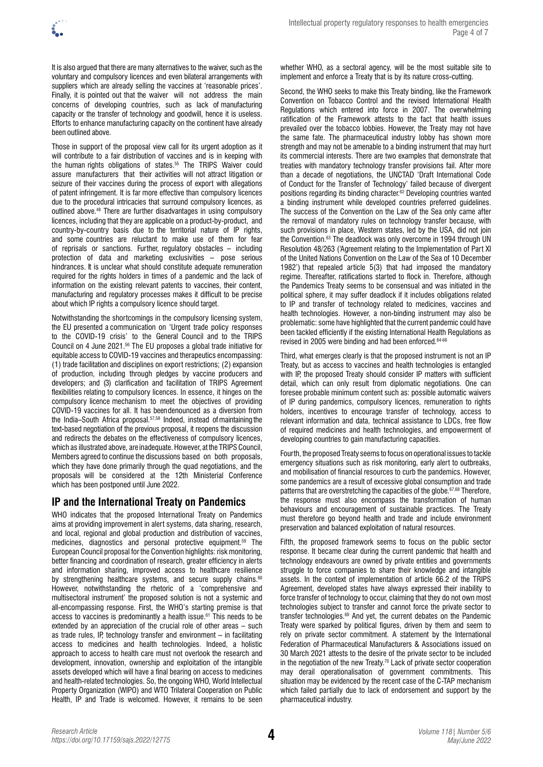It is also argued that there are many alternatives to the waiver, such as the voluntary and compulsory licences and even bilateral arrangements with suppliers which are already selling the vaccines at 'reasonable prices'. Finally, it is pointed out that the waiver will not address the main concerns of developing countries, such as lack of manufacturing capacity or the transfer of technology and goodwill, hence it is useless. Efforts to enhance manufacturing capacity on the continent have already been outlined above.

Those in support of the proposal view call for its urgent adoption as it will contribute to a fair distribution of vaccines and is in keeping with the human rights obligations of states.<sup>55</sup> The TRIPS Waiver could assure manufacturers that their activities will not attract litigation or seizure of their vaccines during the process of export with allegations of patent infringement. It is far more effective than compulsory licences due to the procedural intricacies that surround compulsory licences, as outlined above.48 There are further disadvantages in using compulsory licences, including that they are applicable on a product-by-product, and country-by-country basis due to the territorial nature of IP rights, and some countries are reluctant to make use of them for fear of reprisals or sanctions. Further, regulatory obstacles – including protection of data and marketing exclusivities – pose serious hindrances. It is unclear what should constitute adequate remuneration required for the rights holders in times of a pandemic and the lack of information on the existing relevant patents to vaccines, their content, manufacturing and regulatory processes makes it difficult to be precise about which IP rights a compulsory licence should target.

Notwithstanding the shortcomings in the compulsory licensing system, the EU presented a communication on 'Urgent trade policy responses to the COVID-19 crisis' to the General Council and to the TRIPS Council on 4 June 2021.56 The EU proposes a global trade initiative for equitable access to COVID-19 vaccines and therapeutics encompassing: (1) trade facilitation and disciplines on export restrictions; (2) expansion of production, including through pledges by vaccine producers and developers; and (3) clarification and facilitation of TRIPS Agreement flexibilities relating to compulsory licences. In essence, it hinges on the compulsory licence mechanism to meet the objectives of providing COVID-19 vaccines for all. It has been denounced as a diversion from the India–South Africa proposal.57,58 Indeed, instead of maintaining the text-based negotiation of the previous proposal, it reopens the discussion and redirects the debates on the effectiveness of compulsory licences, which as illustrated above, are inadequate. However, at the TRIPS Council, Members agreed to continue the discussions based on both proposals, which they have done primarily through the quad negotiations, and the proposals will be considered at the 12th Ministerial Conference which has been postponed until June 2022.

### **IP and the International Treaty on Pandemics**

WHO indicates that the proposed International Treaty on Pandemics aims at providing improvement in alert systems, data sharing, research, and local, regional and global production and distribution of vaccines, medicines, diagnostics and personal protective equipment.59 The European Council proposal for the Convention highlights: risk monitoring, better financing and coordination of research, greater efficiency in alerts and information sharing, improved access to healthcare resilience by strengthening healthcare systems, and secure supply chains.<sup>60</sup> However, notwithstanding the rhetoric of a 'comprehensive and multisectoral instrument' the proposed solution is not a systemic and all-encompassing response. First, the WHO's starting premise is that access to vaccines is predominantly a health issue.<sup>61</sup> This needs to be extended by an appreciation of the crucial role of other areas – such as trade rules, IP, technology transfer and environment – in facilitating access to medicines and health technologies. Indeed, a holistic approach to access to health care must not overlook the research and development, innovation, ownership and exploitation of the intangible assets developed which will have a final bearing on access to medicines and health-related technologies. So, the ongoing WHO, World Intellectual Property Organization (WIPO) and WTO Trilateral Cooperation on Public Health, IP and Trade is welcomed. However, it remains to be seen

whether WHO, as a sectoral agency, will be the most suitable site to implement and enforce a Treaty that is by its nature cross-cutting.

Second, the WHO seeks to make this Treaty binding, like the Framework Convention on Tobacco Control and the revised International Health Regulations which entered into force in 2007. The overwhelming ratification of the Framework attests to the fact that health issues prevailed over the tobacco lobbies. However, the Treaty may not have the same fate. The pharmaceutical industry lobby has shown more strength and may not be amenable to a binding instrument that may hurt its commercial interests. There are two examples that demonstrate that treaties with mandatory technology transfer provisions fail. After more than a decade of negotiations, the UNCTAD 'Draft International Code of Conduct for the Transfer of Technology' failed because of divergent positions regarding its binding character.<sup>62</sup> Developing countries wanted a binding instrument while developed countries preferred guidelines. The success of the Convention on the Law of the Sea only came after the removal of mandatory rules on technology transfer because, with such provisions in place, Western states, led by the USA, did not join the Convention.<sup>63</sup> The deadlock was only overcome in 1994 through UN Resolution 48/263 ('Agreement relating to the Implementation of Part XI of the United Nations Convention on the Law of the Sea of 10 December 1982') that repealed article 5(3) that had imposed the mandatory regime. Thereafter, ratifications started to flock in. Therefore, although the Pandemics Treaty seems to be consensual and was initiated in the political sphere, it may suffer deadlock if it includes obligations related to IP and transfer of technology related to medicines, vaccines and health technologies. However, a non-binding instrument may also be problematic: some have highlighted that the current pandemic could have been tackled efficiently if the existing International Health Regulations as revised in 2005 were binding and had been enforced.<sup>64-66</sup>

Third, what emerges clearly is that the proposed instrument is not an IP Treaty, but as access to vaccines and health technologies is entangled with IP, the proposed Treaty should consider IP matters with sufficient detail, which can only result from diplomatic negotiations. One can foresee probable minimum content such as: possible automatic waivers of IP during pandemics, compulsory licences, remuneration to rights holders, incentives to encourage transfer of technology, access to relevant information and data, technical assistance to LDCs, free flow of required medicines and health technologies, and empowerment of developing countries to gain manufacturing capacities.

Fourth, the proposed Treaty seems to focus on operational issues to tackle emergency situations such as risk monitoring, early alert to outbreaks, and mobilisation of financial resources to curb the pandemics. However, some pandemics are a result of excessive global consumption and trade patterns that are overstretching the capacities of the globe.67,68 Therefore, the response must also encompass the transformation of human behaviours and encouragement of sustainable practices. The Treaty must therefore go beyond health and trade and include environment preservation and balanced exploitation of natural resources.

Fifth, the proposed framework seems to focus on the public sector response. It became clear during the current pandemic that health and technology endeavours are owned by private entities and governments struggle to force companies to share their knowledge and intangible assets. In the context of implementation of article 66.2 of the TRIPS Agreement, developed states have always expressed their inability to force transfer of technology to occur, claiming that they do not own most technologies subject to transfer and cannot force the private sector to transfer technologies.69 And yet, the current debates on the Pandemic Treaty were sparked by political figures, driven by them and seem to rely on private sector commitment. A statement by the International Federation of Pharmaceutical Manufacturers & Associations issued on 30 March 2021 attests to the desire of the private sector to be included in the negotiation of the new Treaty.70 Lack of private sector cooperation may derail operationalisation of government commitments. This situation may be evidenced by the recent case of the C-TAP mechanism which failed partially due to lack of endorsement and support by the pharmaceutical industry.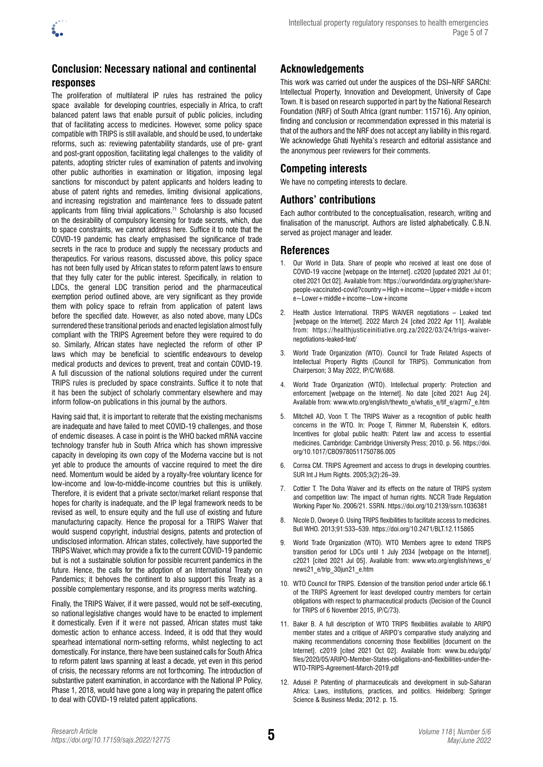

### **Conclusion: Necessary national and continental responses**

The proliferation of multilateral IP rules has restrained the policy space available for developing countries, especially in Africa, to craft balanced patent laws that enable pursuit of public policies, including that of facilitating access to medicines. However, some policy space compatible with TRIPS is still available, and should be used, to undertake reforms, such as: reviewing patentability standards, use of pre- grant and post-grant opposition, facilitating legal challenges to the validity of patents, adopting stricter rules of examination of patents and involving other public authorities in examination or litigation, imposing legal sanctions for misconduct by patent applicants and holders leading to abuse of patent rights and remedies, limiting divisional applications, and increasing registration and maintenance fees to dissuade patent applicants from filing trivial applications.<sup>71</sup> Scholarship is also focused on the desirability of compulsory licensing for trade secrets, which, due to space constraints, we cannot address here. Suffice it to note that the COVID-19 pandemic has clearly emphasised the significance of trade secrets in the race to produce and supply the necessary products and therapeutics. For various reasons, discussed above, this policy space has not been fully used by African states to reform patent laws to ensure that they fully cater for the public interest. Specifically, in relation to LDCs, the general LDC transition period and the pharmaceutical exemption period outlined above, are very significant as they provide them with policy space to refrain from application of patent laws before the specified date. However, as also noted above, many LDCs surrendered these transitional periods and enacted legislation almost fully compliant with the TRIPS Agreement before they were required to do so. Similarly, African states have neglected the reform of other IP laws which may be beneficial to scientific endeavours to develop medical products and devices to prevent, treat and contain COVID-19. A full discussion of the national solutions required under the current TRIPS rules is precluded by space constraints. Suffice it to note that it has been the subject of scholarly commentary elsewhere and may inform follow-on publications in this journal by the authors.

Having said that, it is important to reiterate that the existing mechanisms are inadequate and have failed to meet COVID-19 challenges, and those of endemic diseases. A case in point is the WHO backed mRNA vaccine technology transfer hub in South Africa which has shown impressive capacity in developing its own copy of the Moderna vaccine but is not yet able to produce the amounts of vaccine required to meet the dire need. Momentum would be aided by a royalty-free voluntary licence for low-income and low-to-middle-income countries but this is unlikely. Therefore, it is evident that a private sector/market reliant response that hopes for charity is inadequate, and the IP legal framework needs to be revised as well, to ensure equity and the full use of existing and future manufacturing capacity. Hence the proposal for a TRIPS Waiver that would suspend copyright, industrial designs, patents and protection of undisclosed information. African states, collectively, have supported the TRIPS Waiver, which may provide a fix to the current COVID-19 pandemic but is not a sustainable solution for possible recurrent pandemics in the future. Hence, the calls for the adoption of an International Treaty on Pandemics; it behoves the continent to also support this Treaty as a possible complementary response, and its progress merits watching.

Finally, the TRIPS Waiver, if it were passed, would not be self-executing, so national legislative changes would have to be enacted to implement it domestically. Even if it were not passed, African states must take domestic action to enhance access. Indeed, it is odd that they would spearhead international norm-setting reforms, whilst neglecting to act domestically. For instance, there have been sustained calls for South Africa to reform patent laws spanning at least a decade, yet even in this period of crisis, the necessary reforms are not forthcoming. The introduction of substantive patent examination, in accordance with the National IP Policy, Phase 1, 2018, would have gone a long way in preparing the patent office to deal with COVID-19 related patent applications.

### **Acknowledgements**

This work was carried out under the auspices of the DSI–NRF SARChI: Intellectual Property, Innovation and Development, University of Cape Town. It is based on research supported in part by the National Research Foundation (NRF) of South Africa (grant number: 115716). Any opinion, finding and conclusion or recommendation expressed in this material is that of the authors and the NRF does not accept any liability in this regard. We acknowledge Ghati Nyehita's research and editorial assistance and the anonymous peer reviewers for their comments.

### **Competing interests**

We have no competing interests to declare.

### **Authors' contributions**

Each author contributed to the conceptualisation, research, writing and finalisation of the manuscript. Authors are listed alphabetically. C.B.N. served as project manager and leader.

#### **References**

- 1. Our World in Data. Share of people who received at least one dose of COVID-19 vaccine [webpage on the Internet]. c2020 [updated 2021 Jul 01; cited 2021 Oct 02]. Available from: [https://ourworldindata.org/grapher/share](https://ourworldindata.org/grapher/share-people-vaccinated-covid?country=High+income~Upper+middle+income~Lower+middle+income~Low+income)[people-vaccinated-covid?country=High+income~Upper+middle+incom](https://ourworldindata.org/grapher/share-people-vaccinated-covid?country=High+income~Upper+middle+income~Lower+middle+income~Low+income) [e~Lower+middle+income~Low+income](https://ourworldindata.org/grapher/share-people-vaccinated-covid?country=High+income~Upper+middle+income~Lower+middle+income~Low+income)
- 2. Health Justice International. TRIPS WAIVER negotiations Leaked text [webpage on the Internet]. 2022 March 24 [cited 2022 Apr 11]. Available from: https://healthjusticeinitiative.org.za/2022/03/24/trips-waivernegotiations-leaked-text/
- 3. World Trade Organization (WTO). Council for Trade Related Aspects of Intellectual Property Rights (Council for TRIPS). Communication from Chairperson; 3 May 2022, IP/C/W/688.
- 4. World Trade Organization (WTO). Intellectual property: Protection and enforcement [webpage on the Internet]. No date [cited 2021 Aug 24]. Available from: [www.wto.org/english/thewto\\_e/whatis\\_e/tif\\_e/agrm7\\_e.htm](http://www.wto.org/english/thewto_e/whatis_e/tif_e/agrm7_e.htm)
- 5. Mitchell AD, Voon T. The TRIPS Waiver as a recognition of public health concerns in the WTO. In: Pooge T, Rimmer M, Rubenstein K, editors. Incentives for global public health: Patent law and access to essential medicines. Cambridge: Cambridge University Press; 2010. p. 56. [https://doi.](https://doi.org/10.1017/CBO9780511750786.005) [org/10.1017/CBO9780511750786.005](https://doi.org/10.1017/CBO9780511750786.005)
- 6. Correa CM. TRIPS Agreement and access to drugs in developing countries. SUR Int J Hum Rights. 2005;3(2):26–39.
- 7. Cottier T. The Doha Waiver and its effects on the nature of TRIPS system and competition law: The impact of human rights. NCCR Trade Regulation Working Paper No. 2006/21. SSRN.<https://doi.org/10.2139/ssrn.1036381>
- 8. Nicole D, Owoeye O. Using TRIPS flexibilities to facilitate access to medicines. Bull WHO. 2013;91:533–539.<https://doi.org/10.2471/BLT.12.115865>
- 9. World Trade Organization (WTO). WTO Members agree to extend TRIPS transition period for LDCs until 1 July 2034 [webpage on the Internet]. c2021 [cited 2021 Jul 05]. Available from: [www.wto.org/english/news\\_e/](http://www.wto.org/english/news_e/news21_e/trip_30jun21_e.htm) [news21\\_e/trip\\_30jun21\\_e.htm](http://www.wto.org/english/news_e/news21_e/trip_30jun21_e.htm)
- 10. WTO Council for TRIPS. Extension of the transition period under article 66.1 of the TRIPS Agreement for least developed country members for certain obligations with respect to pharmaceutical products (Decision of the Council for TRIPS of 6 November 2015, IP/C/73).
- 11. Baker B. A full description of WTO TRIPS flexibilities available to ARIPO member states and a critique of ARIPO's comparative study analyzing and making recommendations concerning those flexibilities [document on the Internet]. c2019 [cited 2021 Oct 02]. Available from: [www.bu.edu/gdp/](http://www.bu.edu/gdp/files/2020/05/ARIPO-Member-States-obligations-and-flexibilities-under-the-WTO-TRIPS-Agreement-March-2019.pdf) [files/2020/05/ARIPO-Member-States-obligations-and-flexibilities-under-the-](http://www.bu.edu/gdp/files/2020/05/ARIPO-Member-States-obligations-and-flexibilities-under-the-WTO-TRIPS-Agreement-March-2019.pdf)[WTO-TRIPS-Agreement-March-2019.pdf](http://www.bu.edu/gdp/files/2020/05/ARIPO-Member-States-obligations-and-flexibilities-under-the-WTO-TRIPS-Agreement-March-2019.pdf)
- 12. Adusei P. Patenting of pharmaceuticals and development in sub-Saharan Africa: Laws, institutions, practices, and politics. Heidelberg: Springer Science & Business Media; 2012. p. 15.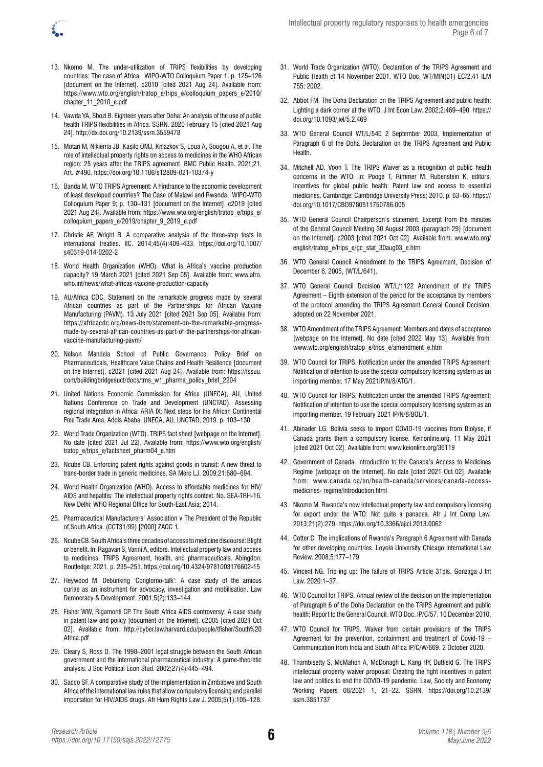- 
- 13. Nkomo M. The under-utilization of TRIPS flexibilities by developing countries: The case of Africa. WIPO-WTO Colloquium Paper 1; p. 125–126 [document on the Internet]. c2010 [cited 2021 Aug 24]. Available from: [https://www.wto.org/english/tratop\\_e/trips\\_e/colloquium\\_papers\\_e/2010/](https://www.wto.org/english/tratop_e/trips_e/colloquium_papers_e/2010/chapter_11_2010_e.pdf) [chapter\\_11\\_2010\\_e.pdf](https://www.wto.org/english/tratop_e/trips_e/colloquium_papers_e/2010/chapter_11_2010_e.pdf)
- 14. Vawda YA, Shozi B. Eighteen years after Doha: An analysis of the use of public health TRIPS flexibilities in Africa. SSRN. 2020 February 15 [cited 2021 Aug 24]. [http://dx.doi.org/10.2139/ssrn.3559478](https://dx.doi.org/10.2139/ssrn.3559478)
- 15. Motari M, Nikiema JB, Kasilo OMJ, Kniazkov S, Loua A, Sougou A, et al. The role of intellectual property rights on access to medicines in the WHO African region: 25 years after the TRIPS agreement. BMC Public Health. 2021;21, Art. #490.<https://doi.org/10.1186/s12889-021-10374-y>
- 16. Banda M. WTO TRIPS Agreement: A hindrance to the economic development of least developed countries? The Case of Malawi and Rwanda. WIPO-WTO Colloquium Paper 9; p. 130–131 [document on the Internet]. c2019 [cited 2021 Aug 24]. Available from: [https://www.wto.org/english/tratop\\_e/trips\\_e/](https://www.wto.org/english/tratop_e/trips_e/colloquium_papers_e/2019/chapter_9_2019_e.pdf) [colloquium\\_papers\\_e/2019/chapter\\_9\\_2019\\_e.pdf](https://www.wto.org/english/tratop_e/trips_e/colloquium_papers_e/2019/chapter_9_2019_e.pdf)
- 17. Christie AF, Wright R. A comparative analysis of the three-step tests in international treaties. IIC. 2014;45(4):409–433. [https://doi.org/10.1007/](https://doi.org/10.1007/s40319-014-0202-2) [s40319-014-0202-2](https://doi.org/10.1007/s40319-014-0202-2)
- 18. World Health Organization (WHO). What is Africa's vaccine production capacity? 19 March 2021 [cited 2021 Sep 05]. Available from: [www.afro.](http://www.afro.who.int/news/what-africas-vaccine-production-capacity) [who.int/news/what-africas-vaccine-production-capacity](http://www.afro.who.int/news/what-africas-vaccine-production-capacity)
- 19. AU/Africa CDC. Statement on the remarkable progress made by several African countries as part of the Partnerships for African Vaccine Manufacturing (PAVM). 13 July 2021 [cited 2021 Sep 05]. Available from: [https://africacdc.org/news-item/statement-on-the-remarkable-progress](https://africacdc.org/news-item/statement-on-the-remarkable-progress-made-by-several-african-countries-as-part-of-the-partnerships-for-african-vaccine-manufacturing-pavm/)[made-by-several-african-countries-as-part-of-the-partnerships-for-african](https://africacdc.org/news-item/statement-on-the-remarkable-progress-made-by-several-african-countries-as-part-of-the-partnerships-for-african-vaccine-manufacturing-pavm/)[vaccine-manufacturing-pavm/](https://africacdc.org/news-item/statement-on-the-remarkable-progress-made-by-several-african-countries-as-part-of-the-partnerships-for-african-vaccine-manufacturing-pavm/)
- 20. Nelson Mandela School of Public Governance. Policy Brief on Pharmaceuticals, Healthcare Value Chains and Health Resilience [document on the Internet]. c2021 [cited 2021 Aug 24]. Available from: [https://issuu.](https://issuu.com/buildingbridgesuct/docs/tms_w1_pharma_policy_brief_2204) [com/buildingbridgesuct/docs/tms\\_w1\\_pharma\\_policy\\_brief\\_2204](https://issuu.com/buildingbridgesuct/docs/tms_w1_pharma_policy_brief_2204)
- 21. United Nations Economic Commission for Africa (UNECA), AU, United Nations Conference on Trade and Development (UNCTAD). Assessing regional integration in Africa: ARIA IX: Next steps for the African Continental Free Trade Area. Addis Ababa: UNECA, AU, UNCTAD; 2019. p. 103–130.
- 22. World Trade Organization (WTO). TRIPS fact sheet [webpage on the Internet]. No date [cited 2021 Jul 22]. Available from: [https://www.wto.org/english/](https://www.wto.org/english/tratop_e/trips_e/factsheet_pharm04_e.htm) [tratop\\_e/trips\\_e/factsheet\\_pharm04\\_e.htm](https://www.wto.org/english/tratop_e/trips_e/factsheet_pharm04_e.htm)
- 23. Ncube CB. Enforcing patent rights against goods in transit: A new threat to trans-border trade in generic medicines. SA Merc LJ. 2009;21:680–694.
- 24. World Health Organization (WHO). Access to affordable medicines for HIV/ AIDS and hepatitis: The intellectual property rights context. No. SEA-TRH-16. New Delhi: WHO Regional Office for South-East Asia; 2014.
- 25. Pharmaceutical Manufacturers' Association v The President of the Republic of South Africa. (CCT31/99) [2000] ZACC 1.
- 26. Ncube CB. South Africa's three decades of access to medicine discourse: Blight or benefit. In: Ragavan S, Vanni A, editors. Intellectual property law and access to medicines: TRIPS Agreement, health, and pharmaceuticals. Abingdon: Routledge; 2021. p. 235–251.<https://doi.org/10.4324/9781003176602-15>
- 27. Heywood M. Debunking 'Conglomo-talk': A case study of the amicus curiae as an instrument for advocacy, investigation and mobilisation. Law Democracy & Development. 2001;5(2):133–144.
- 28. Fisher WW, Rigamonti CP. The South Africa AIDS controversy: A case study in patent law and policy [document on the Internet]. c2005 [cited 2021 Oct 02]. Available from: [http://cyber.law.harvard.edu/people/tfisher/South%20](http://cyber.law.harvard.edu/people/tfisher/South%20Africa.pdf) [Africa.pdf](http://cyber.law.harvard.edu/people/tfisher/South%20Africa.pdf)
- 29. Cleary S, Ross D. The 1998–2001 legal struggle between the South African government and the international pharmaceutical industry: A game-theoretic analysis. J Soc Political Econ Stud. 2002;27(4):445–494.
- 30. Sacco SF. A comparative study of the implementation in Zimbabwe and South Africa of the international law rules that allow compulsory licensing and parallel importation for HIV/AIDS drugs. Afr Hum Rights Law J. 2005;5(1):105–128.
- 31. World Trade Organization (WTO). Declaration of the TRIPS Agreement and Public Health of 14 November 2001, WTO Doc. WT/MIN(01) EC/2,41 ILM 755; 2002.
- 32. Abbot FM. The Doha Declaration on the TRIPS Agreement and public health: Lighting a dark corner at the WTO. J Int Econ Law. 2002;2:469–490. [https://](https://doi.org/10.1093/jiel/5.2.469) [doi.org/10.1093/jiel/5.2.469](https://doi.org/10.1093/jiel/5.2.469)
- 33. WTO General Council WT/L/540 2 September 2003, Implementation of Paragraph 6 of the Doha Declaration on the TRIPS Agreement and Public Health.
- 34. Mitchell AD, Voon T. The TRIPS Waiver as a recognition of public health concerns in the WTO. In: Pooge T, Rimmer M, Rubenstein K, editors. Incentives for global public health: Patent law and access to essential medicines. Cambridge: Cambridge University Press; 2010. p. 63–65. [https://](https://doi.org/10.1017/CBO9780511750786.005) [doi.org/10.1017/CBO9780511750786.005](https://doi.org/10.1017/CBO9780511750786.005)
- 35. WTO General Council Chairperson's statement. Excerpt from the minutes of the General Council Meeting 30 August 2003 (paragraph 29) [document on the Internet]. c2003 [cited 2021 Oct 02]. Available from: [www.wto.org/](http://www.wto.org/english/tratop_e/trips_e/gc_stat_30aug03_e.htm) [english/tratop\\_e/trips\\_e/gc\\_stat\\_30aug03\\_e.htm](http://www.wto.org/english/tratop_e/trips_e/gc_stat_30aug03_e.htm)
- 36. WTO General Council Amendment to the TRIPS Agreement, Decision of December 6, 2005, (WT/L/641).
- 37. WTO General Council Decision WT/L/1122 Amendment of the TRIPS Agreement – Eighth extension of the period for the acceptance by members of the protocol amending the TRIPS Agreement General Council Decision, adopted on 22 November 2021.
- 38. WTO Amendment of the TRIPS Agreement: Members and dates of acceptance [webpage on the Internet]. No date [cited 2022 May 13]. Available from: [www.wto.org/english/tratop\\_e/trips\\_e/amendment\\_e.htm](http://www.wto.org/english/tratop_e/trips_e/amendment_e.htm)
- 39. WTO Council for TRIPS. Notification under the amended TRIPS Agreement: Notification of intention to use the special compulsory licensing system as an importing member. 17 May 2021IP/N/8/ATG/1.
- 40. WTO Council for TRIPS. Notification under the amended TRIPS Agreement: Notification of intention to use the special compulsory licensing system as an importing member. 19 February 2021 IP/N/8/BOL/1.
- 41. Abinader LG. Bolivia seeks to import COVID-19 vaccines from Biolyse, if Canada grants them a compulsory license. Keinonline.org. 11 May 2021 [cited 2021 Oct 02]. Available from: [www.keionline.org/36119](http://www.keionline.org/36119)
- 42. Government of Canada. Introduction to the Canada's Access to Medicines Regime [webpage on the Internet]. No date [cited 2021 Oct 02]. Available from: [www.canada.ca/en/health-canada/services/canada-access](http://www.canada.ca/en/health-canada/services/canada-access-medicines-%20regime/introduction.html)[medicines- regime/introduction.html](http://www.canada.ca/en/health-canada/services/canada-access-medicines-%20regime/introduction.html)
- 43. Nkomo M. Rwanda's new intellectual property law and compulsory licensing for export under the WTO: Not quite a panacea. Afr J Int Comp Law. 2013;21(2):279.<https://doi.org/10.3366/ajicl.2013.0062>
- 44. Cotter C. The implications of Rwanda's Paragraph 6 Agreement with Canada for other developing countries. Loyola University Chicago International Law Review. 2008;5:177–179.
- 45. Vincent NG. Trip-ing up: The failure of TRIPS Article 31bis. Gonzaga J Int Law. 2020:1–37.
- 46. WTO Council for TRIPS. Annual review of the decision on the implementation of Paragraph 6 of the Doha Declaration on the TRIPS Agreement and public health: Report to the General Council. WTO Doc. IP/C/57. 10 December 2010.
- 47. WTO Council for TRIPS. Waiver from certain provisions of the TRIPS Agreement for the prevention, containment and treatment of Covid-19 – Communication from India and South Africa IP/C/W/669. 2 October 2020.
- 48. Thambisetty S, McMahon A, McDonagh L, Kang HY, Dutfield G. The TRIPS intellectual property waiver proposal: Creating the right incentives in patent law and politics to end the COVID-19 pandemic. Law, Society and Economy Working Papers 06/2021 1, 21–22. SSRN. [https://doi.org/10.2139/](https://doi.org/10.2139/ssrn.3851737) [ssrn.3851737](https://doi.org/10.2139/ssrn.3851737)